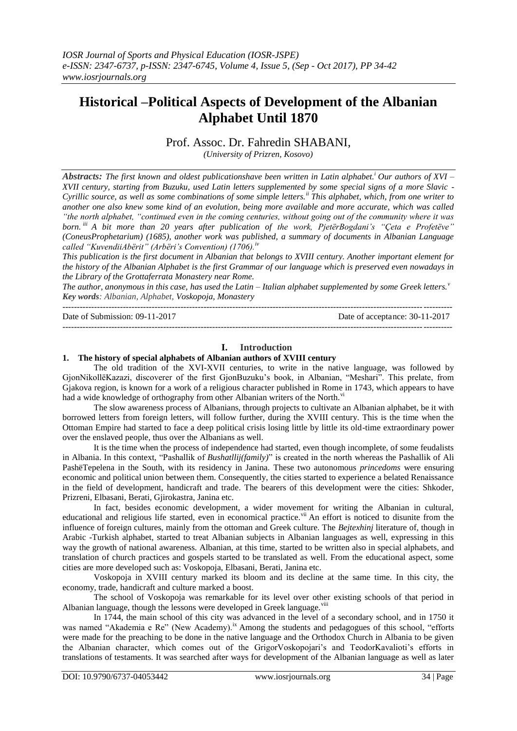# **Historical –Political Aspects of Development of the Albanian Alphabet Until 1870**

Prof. Assoc. Dr. Fahredin SHABANI,

*(University of Prizren, Kosovo)*

*Abstracts: The first known and oldest publicationshave been written in Latin alphabet.<sup>i</sup> Our authors of XVI – XVII century, starting from Buzuku, used Latin letters supplemented by some special signs of a more Slavic - Cyrillic source, as well as some combinations of some simple letters.ii This alphabet, which, from one writer to another one also knew some kind of an evolution, being more available and more accurate, which was called "the north alphabet, "continued even in the coming centuries, without going out of the community where it was born. iii A bit more than 20 years after publication of the work, PjetërBogdani's "Çeta e Profetëve" (ConeusProphetarium) (1685), another work was published, a summary of documents in Albanian Language called "KuvendiiAbërit" (Arbëri's Convention) (1706).iv*

*This publication is the first document in Albanian that belongs to XVIII century. Another important element for the history of the Albanian Alphabet is the first Grammar of our language which is preserved even nowadays in the Library of the Grottaferrata Monastery near Rome.*

*The author, anonymous in this case, has used the Latin – Italian alphabet supplemented by some Greek letters.<sup>v</sup> Key words: Albanian, Alphabet, Voskopoja, Monastery* ---------------------------------------------------------------------------------------------------------------------------------------

Date of Submission: 09-11-2017 Date of acceptance: 30-11-2017 ---------------------------------------------------------------------------------------------------------------------------------------

#### **I. Introduction**

#### **1. The history of special alphabets of Albanian authors of XVIII century**

The old tradition of the XVI-XVII centuries, to write in the native language, was followed by GjonNikollëKazazi, discoverer of the first GjonBuzuku"s book, in Albanian, "Meshari". This prelate, from Gjakova region, is known for a work of a religious character published in Rome in 1743, which appears to have had a wide knowledge of orthography from other Albanian writers of the North.<sup>v</sup>

The slow awareness process of Albanians, through projects to cultivate an Albanian alphabet, be it with borrowed letters from foreign letters, will follow further, during the XVIII century. This is the time when the Ottoman Empire had started to face a deep political crisis losing little by little its old-time extraordinary power over the enslaved people, thus over the Albanians as well.

It is the time when the process of independence had started, even though incomplete, of some feudalists in Albania. In this context, "Pashallik of *Bushatllij(family)*" is created in the north whereas the Pashallik of Ali PashëTepelena in the South, with its residency in Janina. These two autonomous *princedoms* were ensuring economic and political union between them. Consequently, the cities started to experience a belated Renaissance in the field of development, handicraft and trade. The bearers of this development were the cities: Shkoder, Prizreni, Elbasani, Berati, Gjirokastra, Janina etc.

In fact, besides economic development, a wider movement for writing the Albanian in cultural, educational and religious life started, even in economical practice.<sup>vii</sup> An effort is noticed to disunite from the influence of foreign cultures, mainly from the ottoman and Greek culture. The *Bejtexhinj* literature of*,* though in Arabic -Turkish alphabet, started to treat Albanian subjects in Albanian languages as well, expressing in this way the growth of national awareness. Albanian, at this time, started to be written also in special alphabets, and translation of church practices and gospels started to be translated as well. From the educational aspect, some cities are more developed such as: Voskopoja, Elbasani, Berati, Janina etc.

Voskopoja in XVIII century marked its bloom and its decline at the same time. In this city, the economy, trade, handicraft and culture marked a boost.

The school of Voskopoja was remarkable for its level over other existing schools of that period in Albanian language, though the lessons were developed in Greek language. Viii

In 1744, the main school of this city was advanced in the level of a secondary school, and in 1750 it was named "Akademia e Re" (New Academy).<sup>ix</sup> Among the students and pedagogues of this school, "efforts were made for the preaching to be done in the native language and the Orthodox Church in Albania to be given the Albanian character, which comes out of the GrigorVoskopojari's and TeodorKavalioti's efforts in translations of testaments. It was searched after ways for development of the Albanian language as well as later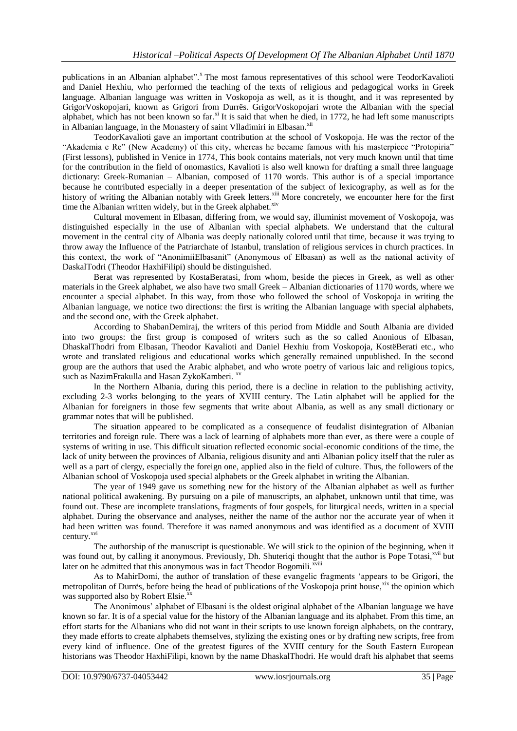publications in an Albanian alphabet".<sup>x</sup> The most famous representatives of this school were TeodorKavalioti and Daniel Hexhiu, who performed the teaching of the texts of religious and pedagogical works in Greek language. Albanian language was written in Voskopoja as well, as it is thought, and it was represented by GrigorVoskopojari, known as Grigori from Durrës. GrigorVoskopojari wrote the Albanian with the special alphabet, which has not been known so far.<sup>xi</sup> It is said that when he died, in 1772, he had left some manuscripts in Albanian language, in the Monastery of saint Vlladimiri in Elbasan.<sup>xii</sup>

TeodorKavalioti gave an important contribution at the school of Voskopoja. He was the rector of the "Akademia e Re" (New Academy) of this city, whereas he became famous with his masterpiece "Protopiria" (First lessons), published in Venice in 1774, This book contains materials, not very much known until that time for the contribution in the field of onomastics, Kavalioti is also well known for drafting a small three language dictionary: Greek-Rumanian – Albanian, composed of 1170 words. This author is of a special importance because he contributed especially in a deeper presentation of the subject of lexicography, as well as for the history of writing the Albanian notably with Greek letters.<sup>xiii</sup> More concretely, we encounter here for the first time the Albanian written widely, but in the Greek alphabet.<sup>xiv</sup>

Cultural movement in Elbasan, differing from, we would say, illuminist movement of Voskopoja, was distinguished especially in the use of Albanian with special alphabets. We understand that the cultural movement in the central city of Albania was deeply nationally colored until that time, because it was trying to throw away the Influence of the Patriarchate of Istanbul, translation of religious services in church practices. In this context, the work of "AnonimiiElbasanit" (Anonymous of Elbasan) as well as the national activity of DaskalTodri (Theodor HaxhiFilipi) should be distinguished.

Berat was represented by KostaBeratasi, from whom, beside the pieces in Greek, as well as other materials in the Greek alphabet, we also have two small Greek – Albanian dictionaries of 1170 words, where we encounter a special alphabet. In this way, from those who followed the school of Voskopoja in writing the Albanian language, we notice two directions: the first is writing the Albanian language with special alphabets, and the second one, with the Greek alphabet.

According to ShabanDemiraj, the writers of this period from Middle and South Albania are divided into two groups: the first group is composed of writers such as the so called Anonious of Elbasan, DhaskalThodri from Elbasan, Theodor Kavalioti and Daniel Hexhiu from Voskopoja, KostëBerati etc., who wrote and translated religious and educational works which generally remained unpublished. In the second group are the authors that used the Arabic alphabet, and who wrote poetry of various laic and religious topics, such as NazimFrakulla and Hasan ZykoKamberi. <sup>xv</sup>

In the Northern Albania, during this period, there is a decline in relation to the publishing activity, excluding 2-3 works belonging to the years of XVIII century. The Latin alphabet will be applied for the Albanian for foreigners in those few segments that write about Albania, as well as any small dictionary or grammar notes that will be published.

The situation appeared to be complicated as a consequence of feudalist disintegration of Albanian territories and foreign rule. There was a lack of learning of alphabets more than ever, as there were a couple of systems of writing in use. This difficult situation reflected economic social-economic conditions of the time, the lack of unity between the provinces of Albania, religious disunity and anti Albanian policy itself that the ruler as well as a part of clergy, especially the foreign one, applied also in the field of culture. Thus, the followers of the Albanian school of Voskopoja used special alphabets or the Greek alphabet in writing the Albanian.

The year of 1949 gave us something new for the history of the Albanian alphabet as well as further national political awakening. By pursuing on a pile of manuscripts, an alphabet, unknown until that time, was found out. These are incomplete translations, fragments of four gospels, for liturgical needs, written in a special alphabet. During the observance and analyses, neither the name of the author nor the accurate year of when it had been written was found. Therefore it was named anonymous and was identified as a document of XVIII century.<sup>xvi</sup>

The authorship of the manuscript is questionable. We will stick to the opinion of the beginning, when it was found out, by calling it anonymous. Previously, Dh. Shuteriqi thought that the author is Pope Totasi,<sup>xvii</sup> but later on he admitted that this anonymous was in fact Theodor Bogomili.<sup>xviii</sup>

As to MahirDomi, the author of translation of these evangelic fragments "appears to be Grigori, the metropolitan of Durrës, before being the head of publications of the Voskopoja print house, xix the opinion which was supported also by Robert Elsie.<sup>xx</sup>

The Anonimous" alphabet of Elbasani is the oldest original alphabet of the Albanian language we have known so far. It is of a special value for the history of the Albanian language and its alphabet. From this time, an effort starts for the Albanians who did not want in their scripts to use known foreign alphabets, on the contrary, they made efforts to create alphabets themselves, stylizing the existing ones or by drafting new scripts, free from every kind of influence. One of the greatest figures of the XVIII century for the South Eastern European historians was Theodor HaxhiFilipi, known by the name DhaskalThodri. He would draft his alphabet that seems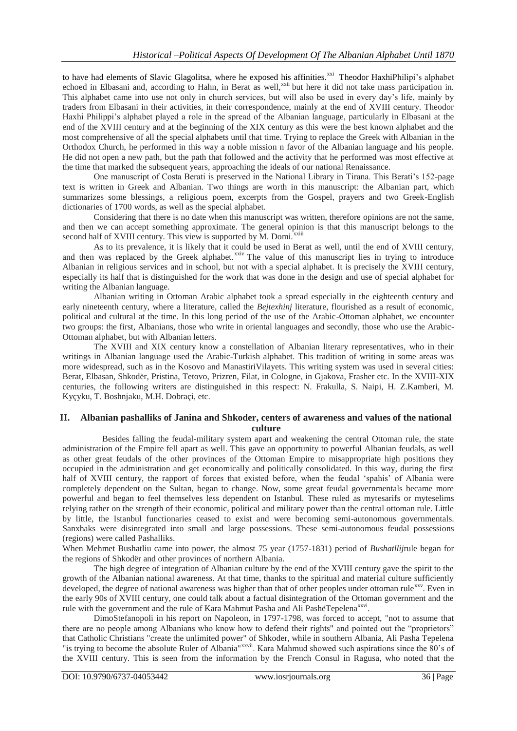to have had elements of Slavic Glagolitsa, where he exposed his affinities.<sup>xxi</sup> Theodor HaxhiPhilipi's alphabet echoed in Elbasani and, according to Hahn, in Berat as well,<sup>xxii</sup> but here it did not take mass participation in. This alphabet came into use not only in church services, but will also be used in every day"s life, mainly by traders from Elbasani in their activities, in their correspondence, mainly at the end of XVIII century. Theodor Haxhi Philippi"s alphabet played a role in the spread of the Albanian language, particularly in Elbasani at the end of the XVIII century and at the beginning of the XIX century as this were the best known alphabet and the most comprehensive of all the special alphabets until that time. Trying to replace the Greek with Albanian in the Orthodox Church, he performed in this way a noble mission n favor of the Albanian language and his people. He did not open a new path, but the path that followed and the activity that he performed was most effective at the time that marked the subsequent years, approaching the ideals of our national Renaissance.

One manuscript of Costa Berati is preserved in the National Library in Tirana. This Berati"s 152-page text is written in Greek and Albanian. Two things are worth in this manuscript: the Albanian part, which summarizes some blessings, a religious poem, excerpts from the Gospel, prayers and two Greek-English dictionaries of 1700 words, as well as the special alphabet.

Considering that there is no date when this manuscript was written, therefore opinions are not the same, and then we can accept something approximate. The general opinion is that this manuscript belongs to the second half of XVIII century. This view is supported by M. Domi.<sup>xxiii</sup>

As to its prevalence, it is likely that it could be used in Berat as well, until the end of XVIII century, and then was replaced by the Greek alphabet.<sup>xxiv</sup> The value of this manuscript lies in trying to introduce Albanian in religious services and in school, but not with a special alphabet. It is precisely the XVIII century, especially its half that is distinguished for the work that was done in the design and use of special alphabet for writing the Albanian language.

Albanian writing in Ottoman Arabic alphabet took a spread especially in the eighteenth century and early nineteenth century, where a literature, called the *Bejtexhinj* literature, flourished as a result of economic, political and cultural at the time. In this long period of the use of the Arabic-Ottoman alphabet, we encounter two groups: the first, Albanians, those who write in oriental languages and secondly, those who use the Arabic-Ottoman alphabet, but with Albanian letters.

The XVIII and XIX century know a constellation of Albanian literary representatives, who in their writings in Albanian language used the Arabic-Turkish alphabet. This tradition of writing in some areas was more widespread, such as in the Kosovo and ManastiriVilayets. This writing system was used in several cities: Berat, Elbasan, Shkodër, Pristina, Tetovo, Prizren, Filat, in Cologne, in Gjakova, Frasher etc. In the XVIII-XIX centuries, the following writers are distinguished in this respect: N. Frakulla, S. Naipi, H. Z.Kamberi, M. Kyçyku, T. Boshnjaku, M.H. Dobraçi, etc.

## **II. Albanian pashalliks of Janina and Shkoder, centers of awareness and values of the national culture**

Besides falling the feudal-military system apart and weakening the central Ottoman rule, the state administration of the Empire fell apart as well. This gave an opportunity to powerful Albanian feudals, as well as other great feudals of the other provinces of the Ottoman Empire to misappropriate high positions they occupied in the administration and get economically and politically consolidated. In this way, during the first half of XVIII century, the rapport of forces that existed before, when the feudal 'spahis' of Albania were completely dependent on the Sultan, began to change. Now, some great feudal governmentals became more powerful and began to feel themselves less dependent on Istanbul. These ruled as mytesarifs or myteselims relying rather on the strength of their economic, political and military power than the central ottoman rule. Little by little, the Istanbul functionaries ceased to exist and were becoming semi-autonomous governmentals. Sanxhaks were disintegrated into small and large possessions. These semi-autonomous feudal possessions (regions) were called Pashalliks.

When Mehmet Bushatliu came into power, the almost 75 year (1757-1831) period of *Bushatllij*rule began for the regions of Shkodër and other provinces of northern Albania.

The high degree of integration of Albanian culture by the end of the XVIII century gave the spirit to the growth of the Albanian national awareness. At that time, thanks to the spiritual and material culture sufficiently developed, the degree of national awareness was higher than that of other peoples under ottoman rule<sup>xxv</sup>. Even in the early 90s of XVIII century, one could talk about a factual disintegration of the Ottoman government and the rule with the government and the rule of Kara Mahmut Pasha and Ali PashëTepelena<sup>xxvi</sup>.

DimoStefanopoli in his report on Napoleon, in 1797-1798, was forced to accept, "not to assume that there are no people among Albanians who know how to defend their rights" and pointed out the "proprietors" that Catholic Christians "create the unlimited power" of Shkoder, while in southern Albania, Ali Pasha Tepelena "is trying to become the absolute Ruler of Albania"<sup>xxvii</sup>. Kara Mahmud showed such aspirations since the 80's of the XVIII century. This is seen from the information by the French Consul in Ragusa, who noted that the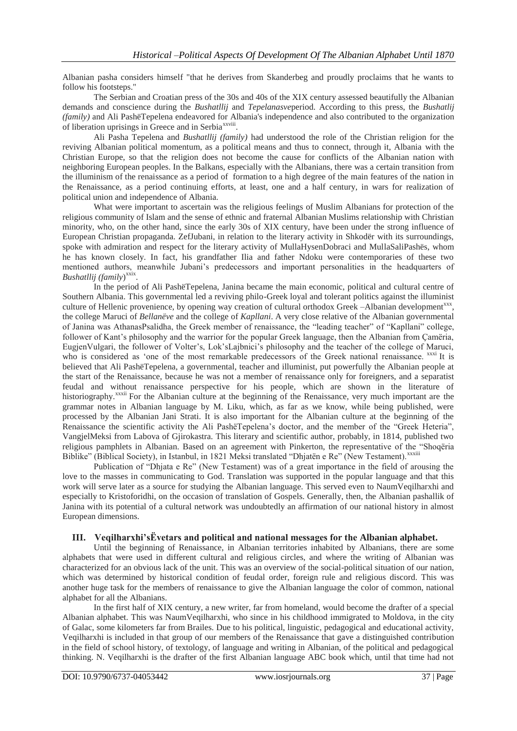Albanian pasha considers himself "that he derives from Skanderbeg and proudly proclaims that he wants to follow his footsteps."

The Serbian and Croatian press of the 30s and 40s of the XIX century assessed beautifully the Albanian demands and conscience during the *Bushatllij* and *Tepelanasve*period. According to this press, the *Bushatlij (family)* and Ali PashëTepelena endeavored for Albania's independence and also contributed to the organization of liberation uprisings in Greece and in Serbia<sup>xxviii</sup>.

Ali Pasha Tepelena and *Bushatllij (family)* had understood the role of the Christian religion for the reviving Albanian political momentum, as a political means and thus to connect, through it, Albania with the Christian Europe, so that the religion does not become the cause for conflicts of the Albanian nation with neighboring European peoples. In the Balkans, especially with the Albanians, there was a certain transition from the illuminism of the renaissance as a period of formation to a high degree of the main features of the nation in the Renaissance, as a period continuing efforts, at least, one and a half century, in wars for realization of political union and independence of Albania.

What were important to ascertain was the religious feelings of Muslim Albanians for protection of the religious community of Islam and the sense of ethnic and fraternal Albanian Muslims relationship with Christian minority, who, on the other hand, since the early 30s of XIX century, have been under the strong influence of European Christian propaganda. ZefJubani, in relation to the literary activity in Shkodër with its surroundings, spoke with admiration and respect for the literary activity of MullaHysenDobraci and MullaSaliPashës, whom he has known closely. In fact, his grandfather Ilia and father Ndoku were contemporaries of these two mentioned authors, meanwhile Jubani"s predecessors and important personalities in the headquarters of Bushatllij (family)<sup>xxix</sup>.

In the period of Ali PashëTepelena, Janina became the main economic, political and cultural centre of Southern Albania. This governmental led a reviving philo-Greek loyal and tolerant politics against the illuminist culture of Hellenic provenience, by opening way creation of cultural orthodox Greek -Albanian development<sup>xxx</sup>, the college Maruci of *Bellanëve* and the college of *Kapllani*. A very close relative of the Albanian governmental of Janina was AthanasPsalidha, the Greek member of renaissance, the "leading teacher" of "Kapllani" college, follower of Kant's philosophy and the warrior for the popular Greek language, then the Albanian from Çamëria, EugjenVulgari, the follower of Volter"s, Lok"sLajbnici"s philosophy and the teacher of the college of Maruci, who is considered as 'one of the most remarkable predecessors of the Greek national renaissance. <sup>xxxi</sup> It is believed that Ali PashëTepelena, a governmental, teacher and illuminist, put powerfully the Albanian people at the start of the Renaissance, because he was not a member of renaissance only for foreigners, and a separatist feudal and without renaissance perspective for his people, which are shown in the literature of historiography.<sup>xxxii</sup> For the Albanian culture at the beginning of the Renaissance, very much important are the grammar notes in Albanian language by M. Liku, which, as far as we know, while being published, were processed by the Albanian Jani Strati. It is also important for the Albanian culture at the beginning of the Renaissance the scientific activity the Ali PashëTepelena"s doctor, and the member of the "Greek Heteria", VangjelMeksi from Labova of Gjirokastra. This literary and scientific author, probably, in 1814, published two religious pamphlets in Albanian. Based on an agreement with Pinkerton, the representative of the "Shoqëria Biblike" (Biblical Society), in Istanbul, in 1821 Meksi translated "Dhjatën e Re" (New Testament).<sup>xxxiii</sup>

Publication of "Dhjata e Re" (New Testament) was of a great importance in the field of arousing the love to the masses in communicating to God. Translation was supported in the popular language and that this work will serve later as a source for studying the Albanian language. This served even to NaumVeqilharxhi and especially to Kristoforidhi, on the occasion of translation of Gospels. Generally, then, the Albanian pashallik of Janina with its potential of a cultural network was undoubtedly an affirmation of our national history in almost European dimensions.

## **III. Veqilharxhi'sËvetars and political and national messages for the Albanian alphabet.**

Until the beginning of Renaissance, in Albanian territories inhabited by Albanians, there are some alphabets that were used in different cultural and religious circles, and where the writing of Albanian was characterized for an obvious lack of the unit. This was an overview of the social-political situation of our nation, which was determined by historical condition of feudal order, foreign rule and religious discord. This was another huge task for the members of renaissance to give the Albanian language the color of common, national alphabet for all the Albanians.

In the first half of XIX century, a new writer, far from homeland, would become the drafter of a special Albanian alphabet. This was NaumVeqilharxhi, who since in his childhood immigrated to Moldova, in the city of Galac, some kilometers far from Brailes. Due to his political, linguistic, pedagogical and educational activity, Veqilharxhi is included in that group of our members of the Renaissance that gave a distinguished contribution in the field of school history, of textology, of language and writing in Albanian, of the political and pedagogical thinking. N. Veqilharxhi is the drafter of the first Albanian language ABC book which, until that time had not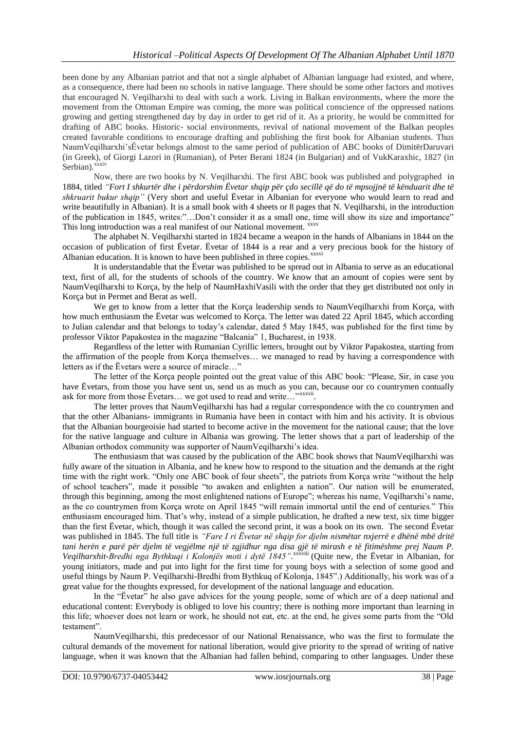been done by any Albanian patriot and that not a single alphabet of Albanian language had existed, and where, as a consequence, there had been no schools in native language. There should be some other factors and motives that encouraged N. Veqilharxhi to deal with such a work. Living in Balkan environments, where the more the movement from the Ottoman Empire was coming, the more was political conscience of the oppressed nations growing and getting strengthened day by day in order to get rid of it. As a priority, he would be committed for drafting of ABC books. Historic- social environments, revival of national movement of the Balkan peoples created favorable conditions to encourage drafting and publishing the first book for Albanian students. Thus NaumVeqilharxhi"sËvetar belongs almost to the same period of publication of ABC books of DimitërDaruvari (in Greek), of Giorgi Lazori in (Rumanian), of Peter Berani 1824 (in Bulgarian) and of VukKaraxhic, 1827 (in Serbian).<sup>xxxiv</sup>

Now, there are two books by N. Veqilharxhi. The first ABC book was published and polygraphed in 1884, titled *"Fort I shkurtër dhe i përdorshim Ëvetar shqip për çdo secillë që do të mpsojjnë të kënduarit dhe të shkruarit bukur shqip"* (Very short and useful Ëvetar in Albanian for everyone who would learn to read and write beautifully in Albanian). It is a small book with 4 sheets or 8 pages that N. Veqilharxhi, in the introduction of the publication in 1845, writes:"…Don"t consider it as a small one, time will show its size and importance" This long introduction was a real manifest of our National movement. <sup>xxxv</sup>

The alphabet N. Veqilharxhi started in 1824 became a weapon in the hands of Albanians in 1844 on the occasion of publication of first Ëvetar. Ëvetar of 1844 is a rear and a very precious book for the history of Albanian education. It is known to have been published in three copies.<sup>xxxvi</sup>

It is understandable that the Ëvetar was published to be spread out in Albania to serve as an educational text, first of all, for the students of schools of the country. We know that an amount of copies were sent by NaumVeqilharxhi to Korça, by the help of NaumHaxhiVasili with the order that they get distributed not only in Korça but in Permet and Berat as well.

We get to know from a letter that the Korça leadership sends to NaumVeqilharxhi from Korça, with how much enthusiasm the Ëvetar was welcomed to Korça. The letter was dated 22 April 1845, which according to Julian calendar and that belongs to today"s calendar, dated 5 May 1845, was published for the first time by professor Viktor Papakostea in the magazine "Balcania" 1, Bucharest, in 1938.

Regardless of the letter with Rumanian Cyrillic letters, brought out by Viktor Papakostea, starting from the affirmation of the people from Korça themselves… we managed to read by having a correspondence with letters as if the Ëvetars were a source of miracle…"

The letter of the Korça people pointed out the great value of this ABC book: "Please, Sir, in case you have Ëvetars, from those you have sent us, send us as much as you can, because our co countrymen contually ask for more from those Evetars... we got used to read and write..."xxxvii.

The letter proves that NaumVeqilharxhi has had a regular correspondence with the co countrymen and that the other Albanians- immigrants in Rumania have been in contact with him and his activity. It is obvious that the Albanian bourgeoisie had started to become active in the movement for the national cause; that the love for the native language and culture in Albania was growing. The letter shows that a part of leadership of the Albanian orthodox community was supporter of NaumVeqilharxhi's idea.

The enthusiasm that was caused by the publication of the ABC book shows that NaumVeqilharxhi was fully aware of the situation in Albania, and he knew how to respond to the situation and the demands at the right time with the right work. "Only one ABC book of four sheets", the patriots from Korça write "without the help of school teachers", made it possible "to awaken and enlighten a nation". Our nation will be enumerated, through this beginning, among the most enlightened nations of Europe"; whereas his name, Veqilharxhi"s name, as the co countrymen from Korça wrote on April 1845 "will remain immortal until the end of centuries." This enthusiasm encouraged him. That's why, instead of a simple publication, he drafted a new text, six time bigger than the first Ëvetar, which, though it was called the second print, it was a book on its own. The second Ëvetar was published in 1845. The full title is *"Fare I ri Ëvetar në shqip for djelm nismëtar nxjerrë e dhënë mbë dritë tani herën e parë për djelm të vegjëlme një të zgjidhur nga disa gjë të mirash e të fitimëshme prej Naum P. Veqilharxhit-Bredhi nga Bythkuqi i Kolonjës moti i dytë 1845".* xxxviii (Quite new, the Ëvetar in Albanian, for young initiators, made and put into light for the first time for young boys with a selection of some good and useful things by Naum P. Veqilharxhi-Bredhi from Bythkuq of Kolonja, 1845".) Additionally, his work was of a great value for the thoughts expressed, for development of the national language and education.

In the "Ëvetar" he also gave advices for the young people, some of which are of a deep national and educational content: Everybody is obliged to love his country; there is nothing more important than learning in this life; whoever does not learn or work, he should not eat, etc. at the end, he gives some parts from the "Old testament".

NaumVeqilharxhi, this predecessor of our National Renaissance, who was the first to formulate the cultural demands of the movement for national liberation, would give priority to the spread of writing of native language, when it was known that the Albanian had fallen behind, comparing to other languages. Under these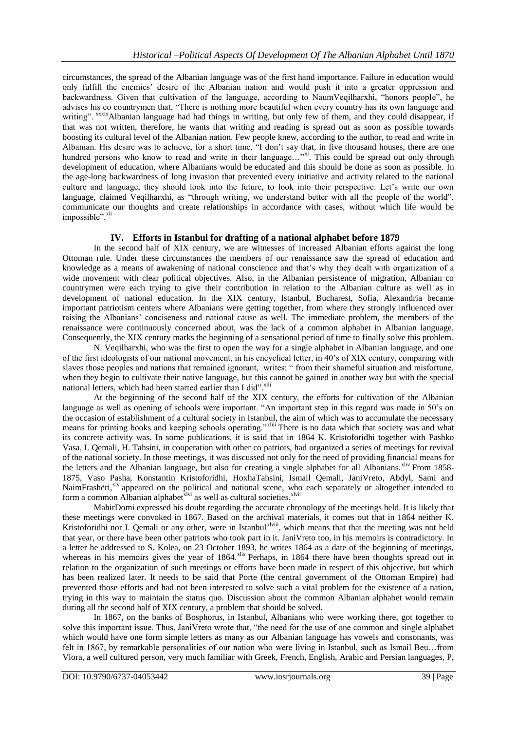circumstances, the spread of the Albanian language was of the first hand importance. Failure in education would only fulfill the enemies" desire of the Albanian nation and would push it into a greater oppression and backwardness. Given that cultivation of the language, according to NaumVeqilharxhi, "honors people", he advises his co countrymen that, "There is nothing more beautiful when every country has its own language and writing". *xxxix* Albanian language had had things in writing, but only few of them, and they could disappear, if that was not written, therefore, he wants that writing and reading is spread out as soon as possible towards boosting its cultural level of the Albanian nation. Few people knew, according to the author, to read and write in Albanian. His desire was to achieve, for a short time, "I don"t say that, in five thousand houses, there are one hundred persons who know to read and write in their language..."<sup>xl</sup>. This could be spread out only through development of education, where Albanians would be educated and this should be done as soon as possible. In the age-long backwardness of long invasion that prevented every initiative and activity related to the national culture and language, they should look into the future, to look into their perspective. Let"s write our own language, claimed Veqilharxhi, as "through writing, we understand better with all the people of the world", communicate our thoughts and create relationships in accordance with cases, without which life would be  $impossible$ <sup>", $xli$ </sup>

# **IV. Efforts in Istanbul for drafting of a national alphabet before 1879**

In the second half of XIX century, we are witnesses of increased Albanian efforts against the long Ottoman rule. Under these circumstances the members of our renaissance saw the spread of education and knowledge as a means of awakening of national conscience and that"s why they dealt with organization of a wide movement with clear political objectives. Also, in the Albanian persistence of migration, Albanian co countrymen were each trying to give their contribution in relation to the Albanian culture as well as in development of national education. In the XIX century, Istanbul, Bucharest, Sofia, Alexandria became important patriotism centers where Albanians were getting together, from where they strongly influenced over raising the Albanians" conciseness and national cause as well. The immediate problem, the members of the renaissance were continuously concerned about, was the lack of a common alphabet in Albanian language. Consequently, the XIX century marks the beginning of a sensational period of time to finally solve this problem.

N. Veqilharxhi, who was the first to open the way for a single alphabet in Albanian language, and one of the first ideologists of our national movement, in his encyclical letter, in 40"s of XIX century, comparing with slaves those peoples and nations that remained ignorant, writes: " from their shameful situation and misfortune, when they begin to cultivate their native language, but this cannot be gained in another way but with the special national letters, which had been started earlier than I did".<sup>xlii</sup>

At the beginning of the second half of the XIX century, the efforts for cultivation of the Albanian language as well as opening of schools were important. "An important step in this regard was made in 50"s on the occasion of establishment of a cultural society in Istanbul, the aim of which was to accumulate the necessary means for printing books and keeping schools operating."xliii There is no data which that society was and what its concrete activity was. In some publications, it is said that in 1864 K. Kristoforidhi together with Pashko Vasa, I. Qemali, H. Tahsini, in cooperation with other co patriots, had organized a series of meetings for revival of the national society. In those meetings, it was discussed not only for the need of providing financial means for the letters and the Albanian language, but also for creating a single alphabet for all Albanians.<sup>xliv</sup> From 1858-1875, Vaso Pasha, Konstantin Kristoforidhi, HoxhaTahsini, Ismail Qemali, JaniVreto, Abdyl, Sami and NaimFrashëri,<sup>xlv</sup> appeared on the political and national scene, who each separately or altogether intended to form a common Albanian alphabet<sup>xlvi</sup> as well as cultural societies.<sup>xlvii</sup>

MahirDomi expressed his doubt regarding the accurate chronology of the meetings held. It is likely that these meetings were convoked in 1867. Based on the archival materials, it comes out that in 1864 neither K. Kristoforidhi nor I. Qemali or any other, were in Istanbul<sup>xlviii</sup>, which means that that the meeting was not held that year, or there have been other patriots who took part in it. JaniVreto too, in his memoirs is contradictory. In a letter he addressed to S. Kolea, on 23 October 1893, he writes 1864 as a date of the beginning of meetings, whereas in his memoirs gives the year of 1864.<sup>xlix</sup> Perhaps, in 1864 there have been thoughts spread out in relation to the organization of such meetings or efforts have been made in respect of this objective, but which has been realized later. It needs to be said that Porte (the central government of the Ottoman Empire) had prevented those efforts and had not been interested to solve such a vital problem for the existence of a nation, trying in this way to maintain the status quo. Discussion about the common Albanian alphabet would remain during all the second half of XIX century, a problem that should be solved.

In 1867, on the banks of Bosphorus, in Istanbul, Albanians who were working there, got together to solve this important issue. Thus, JaniVreto wrote that, "the need for the use of one common and single alphabet which would have one form simple letters as many as our Albanian language has vowels and consonants, was felt in 1867, by remarkable personalities of our nation who were living in Istanbul, such as Ismail Beu…from Vlora, a well cultured person, very much familiar with Greek, French, English, Arabic and Persian languages, P,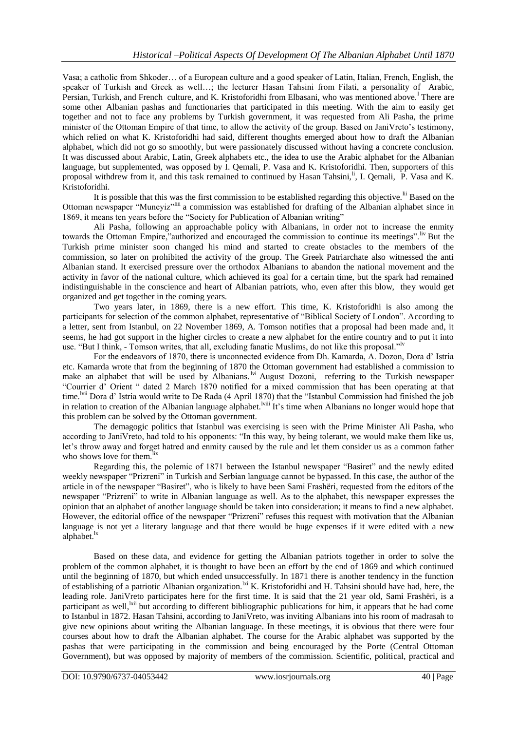Vasa; a catholic from Shkoder… of a European culture and a good speaker of Latin, Italian, French, English, the speaker of Turkish and Greek as well…; the lecturer Hasan Tahsini from Filati, a personality of Arabic, Persian, Turkish, and French culture, and K. Kristoforidhi from Elbasani, who was mentioned above.<sup>1</sup> There are some other Albanian pashas and functionaries that participated in this meeting. With the aim to easily get together and not to face any problems by Turkish government, it was requested from Ali Pasha, the prime minister of the Ottoman Empire of that time, to allow the activity of the group. Based on JaniVreto's testimony, which relied on what K. Kristoforidhi had said, different thoughts emerged about how to draft the Albanian alphabet, which did not go so smoothly, but were passionately discussed without having a concrete conclusion. It was discussed about Arabic, Latin, Greek alphabets etc., the idea to use the Arabic alphabet for the Albanian language, but supplemented, was opposed by I. Qemali, P. Vasa and K. Kristoforidhi. Then, supporters of this proposal withdrew from it, and this task remained to continued by Hasan Tahsini,<sup>li</sup>, I. Qemali, P. Vasa and K. Kristoforidhi.

It is possible that this was the first commission to be established regarding this objective.<sup>lii</sup> Based on the Ottoman newspaper "Muneyiz"liii a commission was established for drafting of the Albanian alphabet since in 1869, it means ten years before the "Society for Publication of Albanian writing"

Ali Pasha, following an approachable policy with Albanians, in order not to increase the enmity towards the Ottoman Empire,"authorized and encouraged the commission to continue its meetings". Iiv But the Turkish prime minister soon changed his mind and started to create obstacles to the members of the commission, so later on prohibited the activity of the group. The Greek Patriarchate also witnessed the anti Albanian stand. It exercised pressure over the orthodox Albanians to abandon the national movement and the activity in favor of the national culture, which achieved its goal for a certain time, but the spark had remained indistinguishable in the conscience and heart of Albanian patriots, who, even after this blow, they would get organized and get together in the coming years.

Two years later, in 1869, there is a new effort. This time, K. Kristoforidhi is also among the participants for selection of the common alphabet, representative of "Biblical Society of London". According to a letter, sent from Istanbul, on 22 November 1869, A. Tomson notifies that a proposal had been made and, it seems, he had got support in the higher circles to create a new alphabet for the entire country and to put it into use. "But I think, - Tomson writes, that all, excluding fanatic Muslims, do not like this proposal."

For the endeavors of 1870, there is unconnected evidence from Dh. Kamarda, A. Dozon, Dora d" Istria etc. Kamarda wrote that from the beginning of 1870 the Ottoman government had established a commission to make an alphabet that will be used by Albanians.<sup>1vi</sup> August Dozoni, referring to the Turkish newspaper "Courrier d" Orient " dated 2 March 1870 notified for a mixed commission that has been operating at that time.<sup>Ivii</sup> Dora d' Istria would write to De Rada (4 April 1870) that the "Istanbul Commission had finished the job in relation to creation of the Albanian language alphabet.<sup>Iviii</sup> It's time when Albanians no longer would hope that this problem can be solved by the Ottoman government.

The demagogic politics that Istanbul was exercising is seen with the Prime Minister Ali Pasha, who according to JaniVreto, had told to his opponents: "In this way, by being tolerant, we would make them like us, let"s throw away and forget hatred and enmity caused by the rule and let them consider us as a common father who shows love for them.<sup>lix</sup>

Regarding this, the polemic of 1871 between the Istanbul newspaper "Basiret" and the newly edited weekly newspaper "Prizreni" in Turkish and Serbian language cannot be bypassed. In this case, the author of the article in of the newspaper "Basiret", who is likely to have been Sami Frashëri, requested from the editors of the newspaper "Prizreni" to write in Albanian language as well. As to the alphabet, this newspaper expresses the opinion that an alphabet of another language should be taken into consideration; it means to find a new alphabet. However, the editorial office of the newspaper "Prizreni" refuses this request with motivation that the Albanian language is not yet a literary language and that there would be huge expenses if it were edited with a new alphabet.<sup>lx</sup>

Based on these data, and evidence for getting the Albanian patriots together in order to solve the problem of the common alphabet, it is thought to have been an effort by the end of 1869 and which continued until the beginning of 1870, but which ended unsuccessfully. In 1871 there is another tendency in the function of establishing of a patriotic Albanian organization.<sup>1xi</sup> K. Kristoforidhi and H. Tahsini should have had, here, the leading role. JaniVreto participates here for the first time. It is said that the 21 year old, Sami Frashëri, is a participant as well,<sup>lxii</sup> but according to different bibliographic publications for him, it appears that he had come to Istanbul in 1872. Hasan Tahsini, according to JaniVreto, was inviting Albanians into his room of madrasah to give new opinions about writing the Albanian language. In these meetings, it is obvious that there were four courses about how to draft the Albanian alphabet. The course for the Arabic alphabet was supported by the pashas that were participating in the commission and being encouraged by the Porte (Central Ottoman Government), but was opposed by majority of members of the commission. Scientific, political, practical and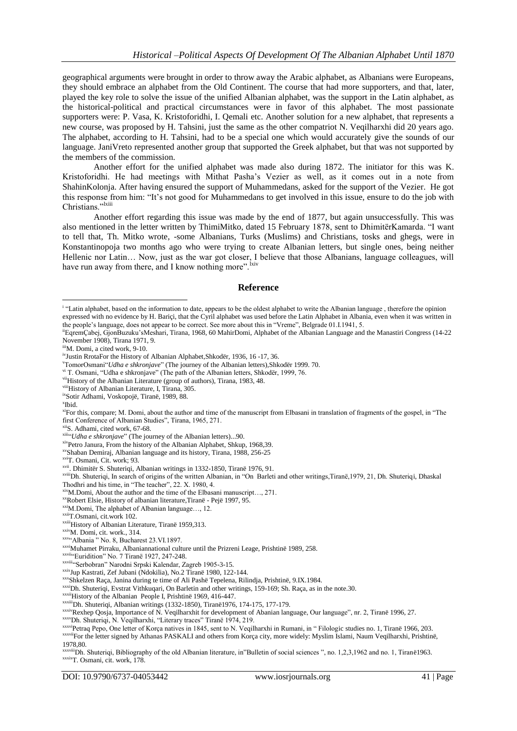geographical arguments were brought in order to throw away the Arabic alphabet, as Albanians were Europeans, they should embrace an alphabet from the Old Continent. The course that had more supporters, and that, later, played the key role to solve the issue of the unified Albanian alphabet, was the support in the Latin alphabet, as the historical-political and practical circumstances were in favor of this alphabet. The most passionate supporters were: P. Vasa, K. Kristoforidhi, I. Qemali etc. Another solution for a new alphabet, that represents a new course, was proposed by H. Tahsini, just the same as the other compatriot N. Veqilharxhi did 20 years ago. The alphabet, according to H. Tahsini, had to be a special one which would accurately give the sounds of our language. JaniVreto represented another group that supported the Greek alphabet, but that was not supported by the members of the commission.

Another effort for the unified alphabet was made also during 1872. The initiator for this was K. Kristoforidhi. He had meetings with Mithat Pasha"s Vezier as well, as it comes out in a note from ShahinKolonja. After having ensured the support of Muhammedans, asked for the support of the Vezier. He got this response from him: "It"s not good for Muhammedans to get involved in this issue, ensure to do the job with Christians."<sup>Ixiii</sup>

Another effort regarding this issue was made by the end of 1877, but again unsuccessfully. This was also mentioned in the letter written by ThimiMitko, dated 15 February 1878, sent to DhimitërKamarda. "I want to tell that, Th. Mitko wrote, -some Albanians, Turks (Muslims) and Christians, tosks and ghegs, were in Konstantinopoja two months ago who were trying to create Albanian letters, but single ones, being neither Hellenic nor Latin… Now, just as the war got closer, I believe that those Albanians, language colleagues, will have run away from there, and I know nothing more".<sup>lxiv</sup>

#### **Reference**

<sup>v</sup>TomorOsmani"*Udha e shkronjave*" (The journey of the Albanian letters),Shkodër 1999. 70.

xivPetro Janura, From the history of the Albanian Alphabet, Shkup, 1968,39.

xxRobert Elsie, History of albanian literature,Tiranë - Pejë 1997, 95.

xxxiiHistory of the Albanian People I, Prishtinë 1969, 416-447.

xxxvDh. Shuteriqi, N. Veqilharxhi, "Literary traces" Tiranë 1974, 219.

The sum alphabet, based on the information to date, appears to be the oldest alphabet to write the Albanian language, therefore the opinion expressed with no evidence by H. Bariçi, that the Cyril alphabet was used before the Latin Alphabet in Albania, even when it was written in the people"s language, does not appear to be correct. See more about this in "Vreme", Belgrade 01.I.1941, 5.

iiEqremÇabej, GjonBuzuku"sMeshari, Tirana, 1968, 60 MahirDomi, Alphabet of the Albanian Language and the Manastiri Congress (14-22 November 1908), Tirana 1971, 9.

iiiM. Domi, a cited work, 9-10.

ivJustin RrotaFor the History of Albanian Alphabet,Shkodër, 1936, 16 -17, 36.

vi T. Osmani, "Udha e shkronjave" (The path of the Albanian letters, Shkodër, 1999, 76.

viiHistory of the Albanian Literature (group of authors), Tirana, 1983, 48.

viiiHistory of Albanian Literature, I, Tirana, 305.

ixSotir Adhami, Voskopojë, Tiranë, 1989, 88.

x Ibid.

xiFor this, compare; M. Domi, about the author and time of the manuscript from Elbasani in translation of fragments of the gospel, in "The first Conference of Albanian Studies", Tirana, 1965, 271.

xiiS. Adhami, cited work, 67-68.

xiii"*Udha e shkronjave*" (The journey of the Albanian letters)...90.

xvShaban Demiraj, Albanian language and its history, Tirana, 1988, 256-25

xviT. Osmani, Cit. work; 93.

xvii. Dhimitër S. Shuteriqi, Albanian writings in 1332-1850, Tiranë 1976, 91.

xviiiDh. Shuteriqi, In search of origins of the written Albanian, in "On Barleti and other writings,Tiranë,1979, 21, Dh. Shuteriqi, Dhaskal Thodhri and his time, in "The teacher", 22. X. 1980, 4.

xixM.Domi, About the author and the time of the Elbasani manuscript…, 271.

xxiM.Domi, The alphabet of Albanian language…, 12.

xxiiT.Osmani, cit.work 102.

xxiiiHistory of Albanian Literature, Tiranë 1959,313.

xxivM. Domi, cit. work., 314.

xxv"Albania " No. 8, Bucharest 23.VI.1897.

xxviMuhamet Pirraku, Albaniannational culture until the Prizreni Leage, Prishtinë 1989, 258.

xxvii. Euridition" No. 7 Tiranë 1927, 247-248.

xxviii"Serbobran" Narodni Srpski Kalendar, Zagreb 1905-3-15.

xxixJup Kastrati, Zef Jubani (Ndokilia), No.2 Tiranë 1980, 122-144.

xxxShkelzen Raça, Janina during te time of Ali Pashë Tepelena, Rilindja, Prishtinë, 9.IX.1984.

xxxiDh. Shuteriqi, Evstrat Vithkuqari, On Barletin and other writings, 159-169; Sh. Raça, as in the note.30.

xxxiiiDh. Shuteriqi, Albanian writings (1332-1850), Tiranë1976, 174-175, 177-179.

xxxivRexhep Qosja, Importance of N. Veqilharxhit for development of Abanian language, Our language", nr. 2, Tiranë 1996, 27.

xxxviPetraq Pepo, One letter of Korça natives in 1845, sent to N. Veqilharxhi in Rumani, in "Filologic studies no. 1, Tiranë 1966, 203. xxxviiFor the letter signed by Athanas PASKALI and others from Korça city, more widely: Myslim Islami, Naum Veqilharxhi, Prishtinë, 1978,80.

xxxviiiDh. Shuteriqi, Bibliography of the old Albanian literature, in"Bulletin of social sciences ", no. 1,2,3,1962 and no. 1, Tiranë1963. xxxixT. Osmani, cit. work, 178.